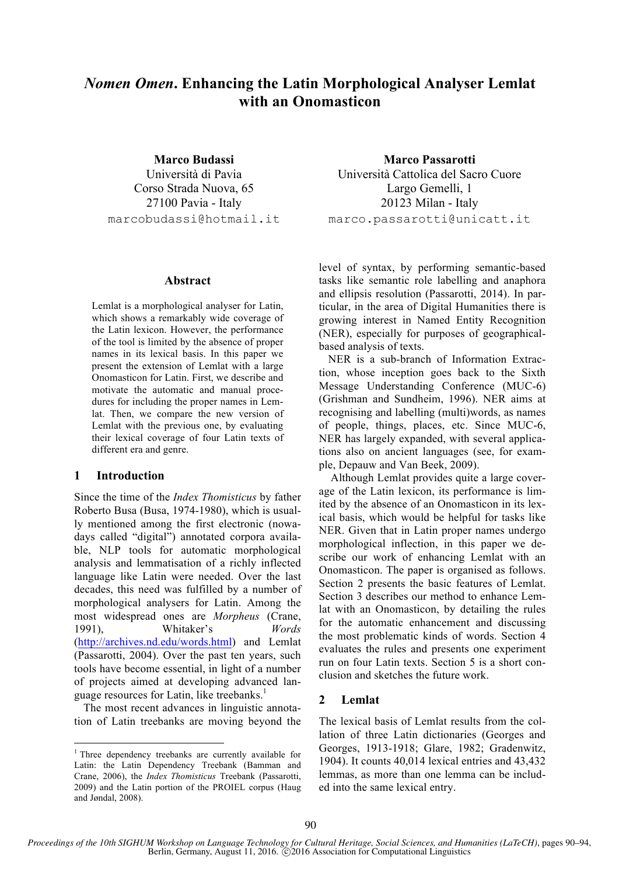# *Nomen Omen***. Enhancing the Latin Morphological Analyser Lemlat with an Onomasticon**

**Marco Budassi**

Università di Pavia Corso Strada Nuova, 65 27100 Pavia - Italy marcobudassi@hotmail.it

## **Abstract**

Lemlat is a morphological analyser for Latin, which shows a remarkably wide coverage of the Latin lexicon. However, the performance of the tool is limited by the absence of proper names in its lexical basis. In this paper we present the extension of Lemlat with a large Onomasticon for Latin. First, we describe and motivate the automatic and manual procedures for including the proper names in Lemlat. Then, we compare the new version of Lemlat with the previous one, by evaluating their lexical coverage of four Latin texts of different era and genre.

# **1 Introduction**

Since the time of the *Index Thomisticus* by father Roberto Busa (Busa, 1974-1980), which is usually mentioned among the first electronic (nowadays called "digital") annotated corpora available, NLP tools for automatic morphological analysis and lemmatisation of a richly inflected language like Latin were needed. Over the last decades, this need was fulfilled by a number of morphological analysers for Latin. Among the most widespread ones are *Morpheus* (Crane, 1991), Whitaker's *Words* (http://archives.nd.edu/words.html) and Lemlat (Passarotti, 2004). Over the past ten years, such tools have become essential, in light of a number of projects aimed at developing advanced language resources for Latin, like treebanks.<sup>1</sup>

The most recent advances in linguistic annotation of Latin treebanks are moving beyond the

**Marco Passarotti** Università Cattolica del Sacro Cuore Largo Gemelli, 1 20123 Milan - Italy marco.passarotti@unicatt.it

level of syntax, by performing semantic-based tasks like semantic role labelling and anaphora and ellipsis resolution (Passarotti, 2014). In particular, in the area of Digital Humanities there is growing interest in Named Entity Recognition (NER), especially for purposes of geographicalbased analysis of texts.

NER is a sub-branch of Information Extraction, whose inception goes back to the Sixth Message Understanding Conference (MUC-6) (Grishman and Sundheim, 1996). NER aims at recognising and labelling (multi)words, as names of people, things, places, etc. Since MUC-6, NER has largely expanded, with several applications also on ancient languages (see, for example, Depauw and Van Beek, 2009).

Although Lemlat provides quite a large coverage of the Latin lexicon, its performance is limited by the absence of an Onomasticon in its lexical basis, which would be helpful for tasks like NER. Given that in Latin proper names undergo morphological inflection, in this paper we describe our work of enhancing Lemlat with an Onomasticon. The paper is organised as follows. Section 2 presents the basic features of Lemlat. Section 3 describes our method to enhance Lemlat with an Onomasticon, by detailing the rules for the automatic enhancement and discussing the most problematic kinds of words. Section 4 evaluates the rules and presents one experiment run on four Latin texts. Section 5 is a short conclusion and sketches the future work.

# **2 Lemlat**

The lexical basis of Lemlat results from the collation of three Latin dictionaries (Georges and Georges, 1913-1918; Glare, 1982; Gradenwitz, 1904). It counts 40,014 lexical entries and 43,432 lemmas, as more than one lemma can be included into the same lexical entry.

<sup>&</sup>lt;sup>1</sup> Three dependency treebanks are currently available for Latin: the Latin Dependency Treebank (Bamman and Crane, 2006), the *Index Thomisticus* Treebank (Passarotti, 2009) and the Latin portion of the PROIEL corpus (Haug and Jøndal, 2008).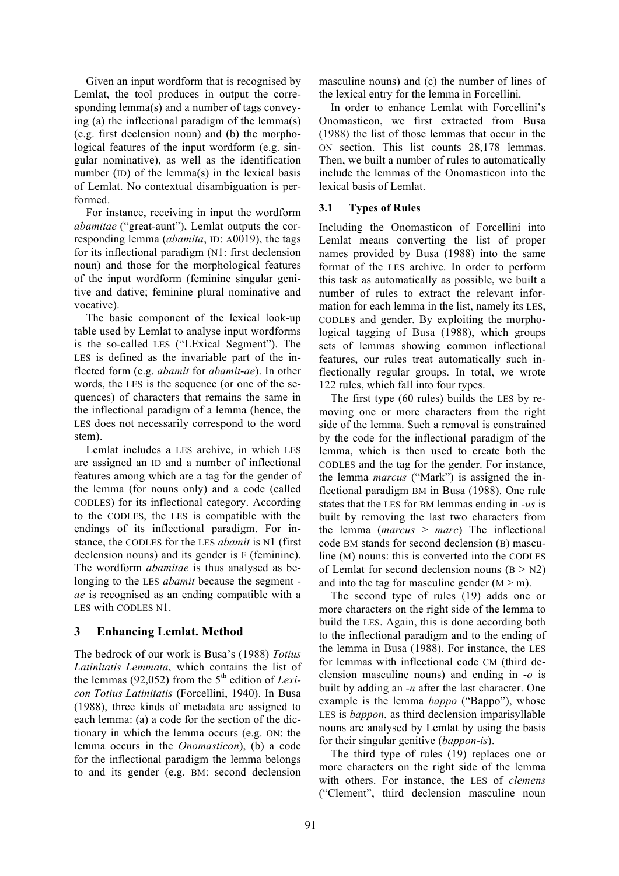Given an input wordform that is recognised by Lemlat, the tool produces in output the corresponding lemma(s) and a number of tags conveying (a) the inflectional paradigm of the lemma(s) (e.g. first declension noun) and (b) the morphological features of the input wordform (e.g. singular nominative), as well as the identification number (ID) of the lemma(s) in the lexical basis of Lemlat. No contextual disambiguation is performed.

For instance, receiving in input the wordform *abamitae* ("great-aunt"), Lemlat outputs the corresponding lemma (*abamita*, ID: A0019), the tags for its inflectional paradigm (N1: first declension noun) and those for the morphological features of the input wordform (feminine singular genitive and dative; feminine plural nominative and vocative).

The basic component of the lexical look-up table used by Lemlat to analyse input wordforms is the so-called LES ("LExical Segment"). The LES is defined as the invariable part of the inflected form (e.g. *abamit* for *abamit*-*ae*). In other words, the LES is the sequence (or one of the sequences) of characters that remains the same in the inflectional paradigm of a lemma (hence, the LES does not necessarily correspond to the word stem).

Lemlat includes a LES archive, in which LES are assigned an ID and a number of inflectional features among which are a tag for the gender of the lemma (for nouns only) and a code (called CODLES) for its inflectional category. According to the CODLES, the LES is compatible with the endings of its inflectional paradigm. For instance, the CODLES for the LES *abamit* is N1 (first declension nouns) and its gender is F (feminine). The wordform *abamitae* is thus analysed as belonging to the LES *abamit* because the segment *ae* is recognised as an ending compatible with a LES with CODLES N1.

# **3 Enhancing Lemlat. Method**

The bedrock of our work is Busa's (1988) *Totius Latinitatis Lemmata*, which contains the list of the lemmas (92,052) from the  $5<sup>th</sup>$  edition of *Lexicon Totius Latinitatis* (Forcellini, 1940). In Busa (1988), three kinds of metadata are assigned to each lemma: (a) a code for the section of the dictionary in which the lemma occurs (e.g. ON: the lemma occurs in the *Onomasticon*), (b) a code for the inflectional paradigm the lemma belongs to and its gender (e.g. BM: second declension

masculine nouns) and (c) the number of lines of the lexical entry for the lemma in Forcellini.

In order to enhance Lemlat with Forcellini's Onomasticon, we first extracted from Busa (1988) the list of those lemmas that occur in the ON section. This list counts 28,178 lemmas. Then, we built a number of rules to automatically include the lemmas of the Onomasticon into the lexical basis of Lemlat.

# **3.1 Types of Rules**

Including the Onomasticon of Forcellini into Lemlat means converting the list of proper names provided by Busa (1988) into the same format of the LES archive. In order to perform this task as automatically as possible, we built a number of rules to extract the relevant information for each lemma in the list, namely its LES, CODLES and gender. By exploiting the morphological tagging of Busa (1988), which groups sets of lemmas showing common inflectional features, our rules treat automatically such inflectionally regular groups. In total, we wrote 122 rules, which fall into four types.

The first type (60 rules) builds the LES by removing one or more characters from the right side of the lemma. Such a removal is constrained by the code for the inflectional paradigm of the lemma, which is then used to create both the CODLES and the tag for the gender. For instance, the lemma *marcus* ("Mark") is assigned the inflectional paradigm BM in Busa (1988). One rule states that the LES for BM lemmas ending in -*us* is built by removing the last two characters from the lemma (*marcus* > *marc*) The inflectional code BM stands for second declension (B) masculine (M) nouns: this is converted into the CODLES of Lemlat for second declension nouns  $(B > N2)$ and into the tag for masculine gender  $(M > m)$ .

The second type of rules (19) adds one or more characters on the right side of the lemma to build the LES. Again, this is done according both to the inflectional paradigm and to the ending of the lemma in Busa (1988). For instance, the LES for lemmas with inflectional code CM (third declension masculine nouns) and ending in -*o* is built by adding an -*n* after the last character. One example is the lemma *bappo* ("Bappo"), whose LES is *bappon*, as third declension imparisyllable nouns are analysed by Lemlat by using the basis for their singular genitive (*bappon-is*).

The third type of rules (19) replaces one or more characters on the right side of the lemma with others. For instance, the LES of *clemens* ("Clement", third declension masculine noun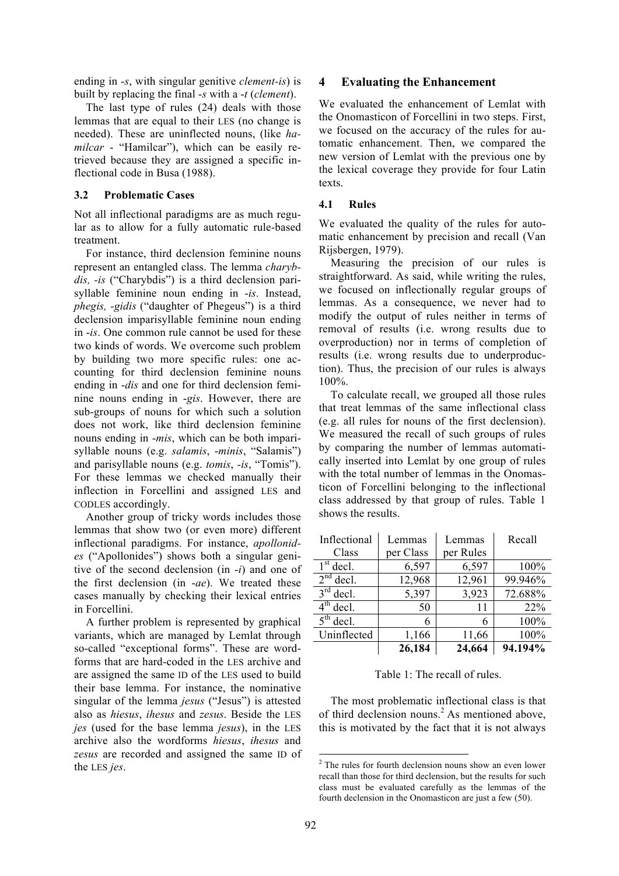ending in -*s*, with singular genitive *clement-is*) is built by replacing the final -*s* with a -*t* (*clement*).

The last type of rules (24) deals with those lemmas that are equal to their LES (no change is needed). These are uninflected nouns, (like *hamilcar* - "Hamilcar"), which can be easily retrieved because they are assigned a specific inflectional code in Busa (1988).

#### **3.2 Problematic Cases**

Not all inflectional paradigms are as much regular as to allow for a fully automatic rule-based treatment.

For instance, third declension feminine nouns represent an entangled class. The lemma *charybdis, -is* ("Charybdis") is a third declension parisyllable feminine noun ending in -*is*. Instead, *phegis, -gidis* ("daughter of Phegeus") is a third declension imparisyllable feminine noun ending in -*is*. One common rule cannot be used for these two kinds of words. We overcome such problem by building two more specific rules: one accounting for third declension feminine nouns ending in -*dis* and one for third declension feminine nouns ending in -*gis*. However, there are sub-groups of nouns for which such a solution does not work, like third declension feminine nouns ending in -*mis*, which can be both imparisyllable nouns (e.g. *salamis*, -*minis*, "Salamis") and parisyllable nouns (e.g. *tomis*, *-is*, "Tomis"). For these lemmas we checked manually their inflection in Forcellini and assigned LES and CODLES accordingly.

Another group of tricky words includes those lemmas that show two (or even more) different inflectional paradigms. For instance, *apollonides* ("Apollonides") shows both a singular genitive of the second declension (in -*i*) and one of the first declension (in -*ae*). We treated these cases manually by checking their lexical entries in Forcellini.

A further problem is represented by graphical variants, which are managed by Lemlat through so-called "exceptional forms". These are wordforms that are hard-coded in the LES archive and are assigned the same ID of the LES used to build their base lemma. For instance, the nominative singular of the lemma *jesus* ("Jesus") is attested also as *hiesus*, *ihesus* and *zesus*. Beside the LES *jes* (used for the base lemma *jesus*), in the LES archive also the wordforms *hiesus*, *ihesus* and *zesus* are recorded and assigned the same ID of the LES *jes*.

### **4 Evaluating the Enhancement**

We evaluated the enhancement of Lemlat with the Onomasticon of Forcellini in two steps. First, we focused on the accuracy of the rules for automatic enhancement. Then, we compared the new version of Lemlat with the previous one by the lexical coverage they provide for four Latin texts.

#### **4.1 Rules**

We evaluated the quality of the rules for automatic enhancement by precision and recall (Van Rijsbergen, 1979).

Measuring the precision of our rules is straightforward. As said, while writing the rules, we focused on inflectionally regular groups of lemmas. As a consequence, we never had to modify the output of rules neither in terms of removal of results (i.e. wrong results due to overproduction) nor in terms of completion of results (i.e. wrong results due to underproduction). Thus, the precision of our rules is always 100%.

To calculate recall, we grouped all those rules that treat lemmas of the same inflectional class (e.g. all rules for nouns of the first declension). We measured the recall of such groups of rules by comparing the number of lemmas automatically inserted into Lemlat by one group of rules with the total number of lemmas in the Onomasticon of Forcellini belonging to the inflectional class addressed by that group of rules. Table 1 shows the results.

| Inflectional                     | Lemmas    | Lemmas    | Recall  |
|----------------------------------|-----------|-----------|---------|
| Class                            | per Class | per Rules |         |
| $1st$ decl.                      | 6,597     | 6,597     | 100%    |
| $2nd$ decl.                      | 12,968    | 12,961    | 99.946% |
| $3rd$ decl.                      | 5,397     | 3,923     | 72.688% |
| $4th$ decl.                      | 50        | 11        | 22%     |
| $\overline{5}^{\text{th}}$ decl. | 6         | 6         | 100%    |
| Uninflected                      | 1,166     | 11,66     | 100%    |
|                                  | 26,184    | 24,664    | 94.194% |

#### Table 1: The recall of rules.

The most problematic inflectional class is that of third declension nouns.<sup>2</sup> As mentioned above, this is motivated by the fact that it is not always

<sup>&</sup>lt;sup>2</sup> The rules for fourth declension nouns show an even lower recall than those for third declension, but the results for such class must be evaluated carefully as the lemmas of the fourth declension in the Onomasticon are just a few (50).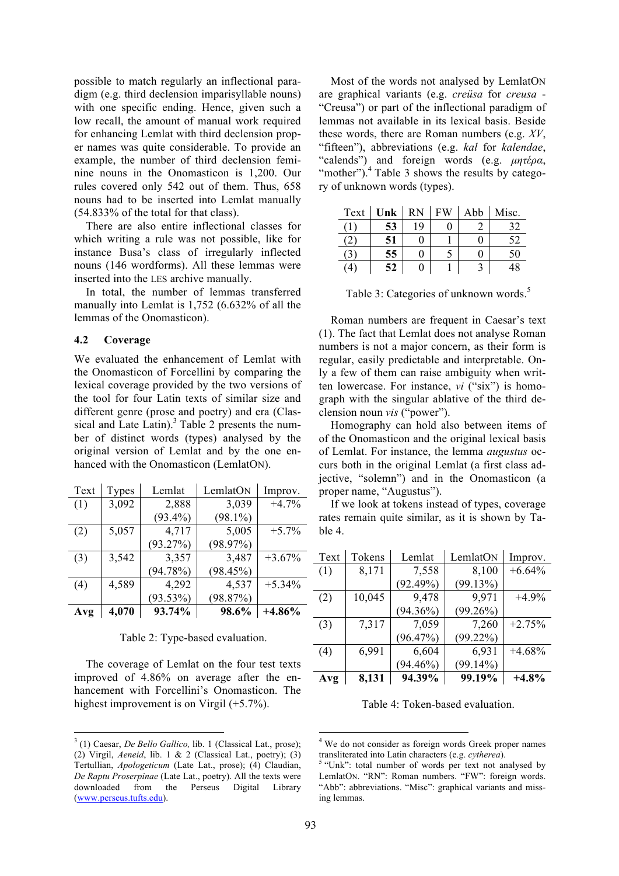possible to match regularly an inflectional paradigm (e.g. third declension imparisyllable nouns) with one specific ending. Hence, given such a low recall, the amount of manual work required for enhancing Lemlat with third declension proper names was quite considerable. To provide an example, the number of third declension feminine nouns in the Onomasticon is 1,200. Our rules covered only 542 out of them. Thus, 658 nouns had to be inserted into Lemlat manually (54.833% of the total for that class).

There are also entire inflectional classes for which writing a rule was not possible, like for instance Busa's class of irregularly inflected nouns (146 wordforms). All these lemmas were inserted into the LES archive manually.

In total, the number of lemmas transferred manually into Lemlat is 1,752 (6.632% of all the lemmas of the Onomasticon).

## **4.2 Coverage**

We evaluated the enhancement of Lemlat with the Onomasticon of Forcellini by comparing the lexical coverage provided by the two versions of the tool for four Latin texts of similar size and different genre (prose and poetry) and era (Classical and Late Latin).<sup>3</sup> Table 2 presents the number of distinct words (types) analysed by the original version of Lemlat and by the one enhanced with the Onomasticon (LemlatON).

| Text | Types | Lemlat      | LemlatON   | Improv.  |
|------|-------|-------------|------------|----------|
| (1)  | 3,092 | 2,888       | 3,039      | $+4.7%$  |
|      |       | $(93.4\%)$  | $(98.1\%)$ |          |
| (2)  | 5,057 | 4,717       | 5,005      | $+5.7%$  |
|      |       | (93.27%)    | (98.97%)   |          |
| (3)  | 3,542 | 3,357       | 3,487      | $+3.67%$ |
|      |       | (94.78%)    | (98.45%)   |          |
| (4)  | 4,589 | 4,292       | 4,537      | $+5.34%$ |
|      |       | $(93.53\%)$ | (98.87%)   |          |
| Avg  | 4,070 | 93.74%      | 98.6%      | $+4.86%$ |

#### Table 2: Type-based evaluation.

The coverage of Lemlat on the four test texts improved of 4.86% on average after the enhancement with Forcellini's Onomasticon. The highest improvement is on Virgil (+5.7%).

Most of the words not analysed by LemlatON are graphical variants (e.g. *creüsa* for *creusa* - "Creusa") or part of the inflectional paradigm of lemmas not available in its lexical basis. Beside these words, there are Roman numbers (e.g. *XV*, "fifteen"), abbreviations (e.g. *kal* for *kalendae*, "calends") and foreign words (e.g. *µητέρα*, "mother"). $^{4}$  Table 3 shows the results by category of unknown words (types).

| Text | Unk | <b>RN</b> | FW | Abb | Misc. |
|------|-----|-----------|----|-----|-------|
|      | 53  | ۱9        |    |     | 32    |
|      | 51  |           |    |     | 52    |
| 63   | 55  |           |    |     | 50    |
| (4   | 52  |           |    |     | 48    |

Table 3: Categories of unknown words.<sup>5</sup>

Roman numbers are frequent in Caesar's text (1). The fact that Lemlat does not analyse Roman numbers is not a major concern, as their form is regular, easily predictable and interpretable. Only a few of them can raise ambiguity when written lowercase. For instance, *vi* ("six") is homograph with the singular ablative of the third declension noun *vis* ("power").

Homography can hold also between items of of the Onomasticon and the original lexical basis of Lemlat. For instance, the lemma *augustus* occurs both in the original Lemlat (a first class adjective, "solemn") and in the Onomasticon (a proper name, "Augustus").

If we look at tokens instead of types, coverage rates remain quite similar, as it is shown by Table 4.

| Text | Tokens | Lemlat      | LemlatON    | Improv.   |
|------|--------|-------------|-------------|-----------|
| (1)  | 8,171  | 7,558       | 8,100       | $+6.64%$  |
|      |        | (92.49%)    | (99.13%)    |           |
| (2)  | 10,045 | 9,478       | 9.971       | $+4.9%$   |
|      |        | $(94.36\%)$ | $(99.26\%)$ |           |
| (3)  | 7,317  | 7,059       | 7,260       | $+2.75%$  |
|      |        | (96.47%)    | $(99.22\%)$ |           |
| (4)  | 6,991  | 6,604       | 6,931       | $+4.68\%$ |
|      |        | $(94.46\%)$ | $(99.14\%)$ |           |
| Avg  | 8,131  | 94.39%      | 99.19%      | $+4.8%$   |

Table 4: Token-based evaluation.

<sup>3</sup> (1) Caesar, *De Bello Gallico,* lib. 1 (Classical Lat., prose); (2) Virgil, *Aeneid*, lib. 1 & 2 (Classical Lat., poetry); (3) Tertullian, *Apologeticum* (Late Lat., prose); (4) Claudian, *De Raptu Proserpinae* (Late Lat., poetry). All the texts were downloaded from the Perseus Digital Library (www.perseus.tufts.edu).

<sup>&</sup>lt;sup>4</sup> We do not consider as foreign words Greek proper names transliterated into Latin characters (e.g. *cytherea*). <sup>5</sup> "Unk": total number of words per text not analysed by

LemlatON. "RN": Roman numbers. "FW": foreign words. "Abb": abbreviations. "Misc": graphical variants and missing lemmas.